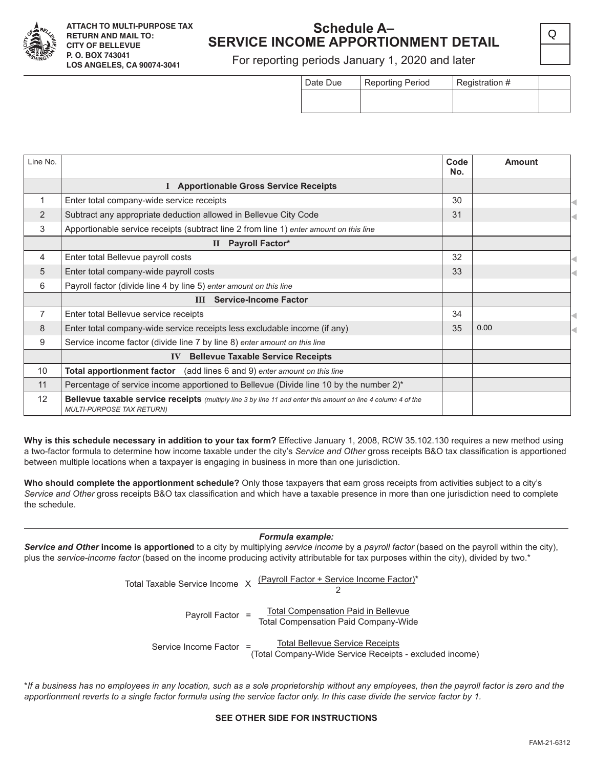

### **Schedule A– SERVICE INCOME APPORTIONMENT DETAIL**

For reporting periods January 1, 2020 and later

| Date Due | <b>Reporting Period</b> | Registration # |  |  |
|----------|-------------------------|----------------|--|--|
|          |                         |                |  |  |

Q

| Line No. |                                                                                                                                                          | Code<br>No. | Amount |  |
|----------|----------------------------------------------------------------------------------------------------------------------------------------------------------|-------------|--------|--|
|          | I Apportionable Gross Service Receipts                                                                                                                   |             |        |  |
| 1        | Enter total company-wide service receipts                                                                                                                | 30          |        |  |
| 2        | Subtract any appropriate deduction allowed in Bellevue City Code                                                                                         | 31          |        |  |
| 3        | Apportionable service receipts (subtract line 2 from line 1) enter amount on this line                                                                   |             |        |  |
|          | II Payroll Factor*                                                                                                                                       |             |        |  |
| 4        | Enter total Bellevue payroll costs                                                                                                                       | 32          |        |  |
| 5        | Enter total company-wide payroll costs                                                                                                                   | 33          |        |  |
| 6        | Payroll factor (divide line 4 by line 5) enter amount on this line                                                                                       |             |        |  |
|          | <b>Service-Income Factor</b><br>III                                                                                                                      |             |        |  |
| 7        | Enter total Bellevue service receipts                                                                                                                    | 34          |        |  |
| 8        | Enter total company-wide service receipts less excludable income (if any)                                                                                | 35          | 0.00   |  |
| 9        | Service income factor (divide line 7 by line 8) enter amount on this line                                                                                |             |        |  |
|          | <b>Bellevue Taxable Service Receipts</b><br>$\mathbf{IV}$                                                                                                |             |        |  |
| 10       | (add lines 6 and 9) enter amount on this line<br><b>Total apportionment factor</b>                                                                       |             |        |  |
| 11       | Percentage of service income apportioned to Bellevue (Divide line 10 by the number 2)*                                                                   |             |        |  |
| 12       | <b>Bellevue taxable service receipts</b> (multiply line 3 by line 11 and enter this amount on line 4 column 4 of the<br><b>MULTI-PURPOSE TAX RETURN)</b> |             |        |  |

**Why is this schedule necessary in addition to your tax form?** Effective January 1, 2008, RCW 35.102.130 requires a new method using a two-factor formula to determine how income taxable under the city's *Service and Other* gross receipts B&O tax classification is apportioned between multiple locations when a taxpayer is engaging in business in more than one jurisdiction.

**Who should complete the apportionment schedule?** Only those taxpayers that earn gross receipts from activities subject to a city's *Service and Other* gross receipts B&O tax classification and which have a taxable presence in more than one jurisdiction need to complete the schedule.

#### *Formula example:*

*Service and Other* **income is apportioned** to a city by multiplying *service income* by a *payroll factor* (based on the payroll within the city), plus the *service-income factor* (based on the income producing activity attributable for tax purposes within the city), divided by two.\*

| Total Taxable Service Income X |  | (Payroll Factor + Service Income Factor)*                                                         |
|--------------------------------|--|---------------------------------------------------------------------------------------------------|
| Payroll Factor =               |  | <b>Total Compensation Paid in Bellevue</b><br><b>Total Compensation Paid Company-Wide</b>         |
| Service Income Factor =        |  | <b>Total Bellevue Service Receipts</b><br>(Total Company-Wide Service Receipts - excluded income) |

\**If a business has no employees in any location, such as a sole proprietorship without any employees, then the payroll factor is zero and the apportionment reverts to a single factor formula using the service factor only. In this case divide the service factor by 1.*

#### **SEE OTHER SIDE FOR INSTRUCTIONS**